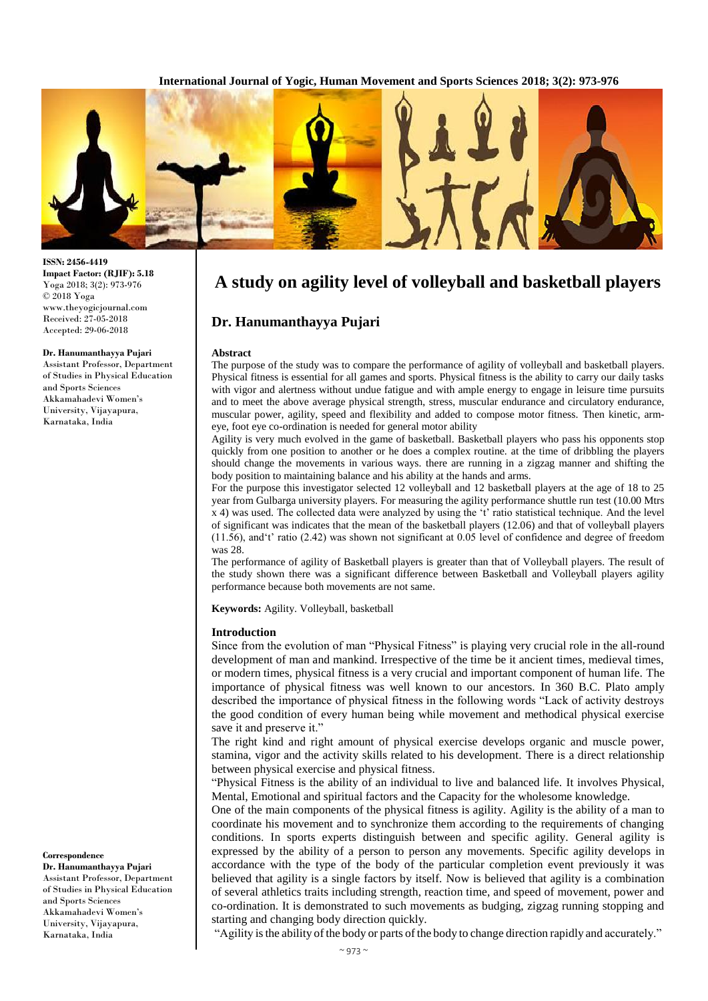**International Journal of Yogic, Human Movement and Sports Sciences 2018; 3(2): 973-976**



# **A study on agility level of volleyball and basketball players**

# **Dr. Hanumanthayya Pujari**

#### **Abstract**

The purpose of the study was to compare the performance of agility of volleyball and basketball players. Physical fitness is essential for all games and sports. Physical fitness is the ability to carry our daily tasks with vigor and alertness without undue fatigue and with ample energy to engage in leisure time pursuits and to meet the above average physical strength, stress, muscular endurance and circulatory endurance, muscular power, agility, speed and flexibility and added to compose motor fitness. Then kinetic, armeye, foot eye co-ordination is needed for general motor ability

Agility is very much evolved in the game of basketball. Basketball players who pass his opponents stop quickly from one position to another or he does a complex routine. at the time of dribbling the players should change the movements in various ways. there are running in a zigzag manner and shifting the body position to maintaining balance and his ability at the hands and arms.

For the purpose this investigator selected 12 volleyball and 12 basketball players at the age of 18 to 25 year from Gulbarga university players. For measuring the agility performance shuttle run test (10.00 Mtrs x 4) was used. The collected data were analyzed by using the 't' ratio statistical technique. And the level of significant was indicates that the mean of the basketball players (12.06) and that of volleyball players (11.56), and't' ratio (2.42) was shown not significant at 0.05 level of confidence and degree of freedom was 28.

The performance of agility of Basketball players is greater than that of Volleyball players. The result of the study shown there was a significant difference between Basketball and Volleyball players agility performance because both movements are not same.

**Keywords:** Agility. Volleyball, basketball

#### **Introduction**

Since from the evolution of man "Physical Fitness" is playing very crucial role in the all-round development of man and mankind. Irrespective of the time be it ancient times, medieval times, or modern times, physical fitness is a very crucial and important component of human life. The importance of physical fitness was well known to our ancestors. In 360 B.C. Plato amply described the importance of physical fitness in the following words "Lack of activity destroys the good condition of every human being while movement and methodical physical exercise save it and preserve it."

The right kind and right amount of physical exercise develops organic and muscle power, stamina, vigor and the activity skills related to his development. There is a direct relationship between physical exercise and physical fitness.

"Physical Fitness is the ability of an individual to live and balanced life. It involves Physical, Mental, Emotional and spiritual factors and the Capacity for the wholesome knowledge.

One of the main components of the physical fitness is agility. Agility is the ability of a man to coordinate his movement and to synchronize them according to the requirements of changing conditions. In sports experts distinguish between and specific agility. General agility is expressed by the ability of a person to person any movements. Specific agility develops in accordance with the type of the body of the particular completion event previously it was believed that agility is a single factors by itself. Now is believed that agility is a combination of several athletics traits including strength, reaction time, and speed of movement, power and co-ordination. It is demonstrated to such movements as budging, zigzag running stopping and starting and changing body direction quickly.

"Agility is the ability of the body or parts of the body to change direction rapidly and accurately."

# **Correspondence**

**Dr. Hanumanthayya Pujari** Assistant Professor, Department of Studies in Physical Education and Sports Sciences Akkamahadevi Women's University, Vijayapura, Karnataka, India

#### **ISSN: 2456-4419 Impact Factor: (RJIF): 5.18** Yoga 2018; 3(2): 973-976 © 2018 Yoga www.theyogicjournal.com Received: 27-05-2018 Accepted: 29-06-2018

#### **Dr. Hanumanthayya Pujari**

Assistant Professor, Department of Studies in Physical Education and Sports Sciences Akkamahadevi Women's University, Vijayapura, Karnataka, India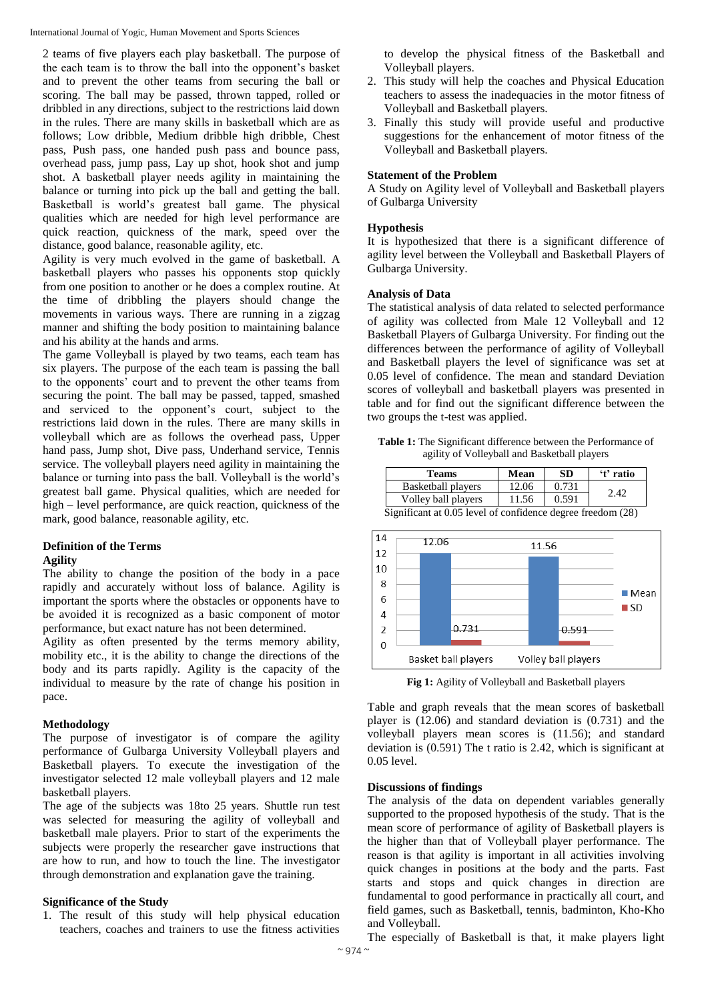International Journal of Yogic, Human Movement and Sports Sciences

2 teams of five players each play basketball. The purpose of the each team is to throw the ball into the opponent's basket and to prevent the other teams from securing the ball or scoring. The ball may be passed, thrown tapped, rolled or dribbled in any directions, subject to the restrictions laid down in the rules. There are many skills in basketball which are as follows; Low dribble, Medium dribble high dribble, Chest pass, Push pass, one handed push pass and bounce pass, overhead pass, jump pass, Lay up shot, hook shot and jump shot. A basketball player needs agility in maintaining the balance or turning into pick up the ball and getting the ball. Basketball is world's greatest ball game. The physical qualities which are needed for high level performance are quick reaction, quickness of the mark, speed over the distance, good balance, reasonable agility, etc.

Agility is very much evolved in the game of basketball. A basketball players who passes his opponents stop quickly from one position to another or he does a complex routine. At the time of dribbling the players should change the movements in various ways. There are running in a zigzag manner and shifting the body position to maintaining balance and his ability at the hands and arms.

The game Volleyball is played by two teams, each team has six players. The purpose of the each team is passing the ball to the opponents' court and to prevent the other teams from securing the point. The ball may be passed, tapped, smashed and serviced to the opponent's court, subject to the restrictions laid down in the rules. There are many skills in volleyball which are as follows the overhead pass, Upper hand pass, Jump shot, Dive pass, Underhand service, Tennis service. The volleyball players need agility in maintaining the balance or turning into pass the ball. Volleyball is the world's greatest ball game. Physical qualities, which are needed for high – level performance, are quick reaction, quickness of the mark, good balance, reasonable agility, etc.

# **Definition of the Terms**

#### **Agility**

The ability to change the position of the body in a pace rapidly and accurately without loss of balance. Agility is important the sports where the obstacles or opponents have to be avoided it is recognized as a basic component of motor performance, but exact nature has not been determined.

Agility as often presented by the terms memory ability, mobility etc., it is the ability to change the directions of the body and its parts rapidly. Agility is the capacity of the individual to measure by the rate of change his position in pace.

#### **Methodology**

The purpose of investigator is of compare the agility performance of Gulbarga University Volleyball players and Basketball players. To execute the investigation of the investigator selected 12 male volleyball players and 12 male basketball players.

The age of the subjects was 18to 25 years. Shuttle run test was selected for measuring the agility of volleyball and basketball male players. Prior to start of the experiments the subjects were properly the researcher gave instructions that are how to run, and how to touch the line. The investigator through demonstration and explanation gave the training.

#### **Significance of the Study**

1. The result of this study will help physical education teachers, coaches and trainers to use the fitness activities to develop the physical fitness of the Basketball and Volleyball players.

- 2. This study will help the coaches and Physical Education teachers to assess the inadequacies in the motor fitness of Volleyball and Basketball players.
- 3. Finally this study will provide useful and productive suggestions for the enhancement of motor fitness of the Volleyball and Basketball players.

## **Statement of the Problem**

A Study on Agility level of Volleyball and Basketball players of Gulbarga University

## **Hypothesis**

It is hypothesized that there is a significant difference of agility level between the Volleyball and Basketball Players of Gulbarga University.

## **Analysis of Data**

The statistical analysis of data related to selected performance of agility was collected from Male 12 Volleyball and 12 Basketball Players of Gulbarga University. For finding out the differences between the performance of agility of Volleyball and Basketball players the level of significance was set at 0.05 level of confidence. The mean and standard Deviation scores of volleyball and basketball players was presented in table and for find out the significant difference between the two groups the t-test was applied.

**Table 1:** The Significant difference between the Performance of agility of Volleyball and Basketball players

| Teams               | Mean  | SD    | 't' ratio |
|---------------------|-------|-------|-----------|
| Basketball players  | 12.06 | 0.731 | 2.42      |
| Volley ball players | 11.56 | 0.591 |           |
| $\sim$              |       |       | $\sim$    |



Significant at 0.05 level of confidence degree freedom (28)

**Fig 1:** Agility of Volleyball and Basketball players

Table and graph reveals that the mean scores of basketball player is (12.06) and standard deviation is (0.731) and the volleyball players mean scores is (11.56); and standard deviation is (0.591) The t ratio is 2.42, which is significant at 0.05 level.

#### **Discussions of findings**

The analysis of the data on dependent variables generally supported to the proposed hypothesis of the study. That is the mean score of performance of agility of Basketball players is the higher than that of Volleyball player performance. The reason is that agility is important in all activities involving quick changes in positions at the body and the parts. Fast starts and stops and quick changes in direction are fundamental to good performance in practically all court, and field games, such as Basketball, tennis, badminton, Kho-Kho and Volleyball.

The especially of Basketball is that, it make players light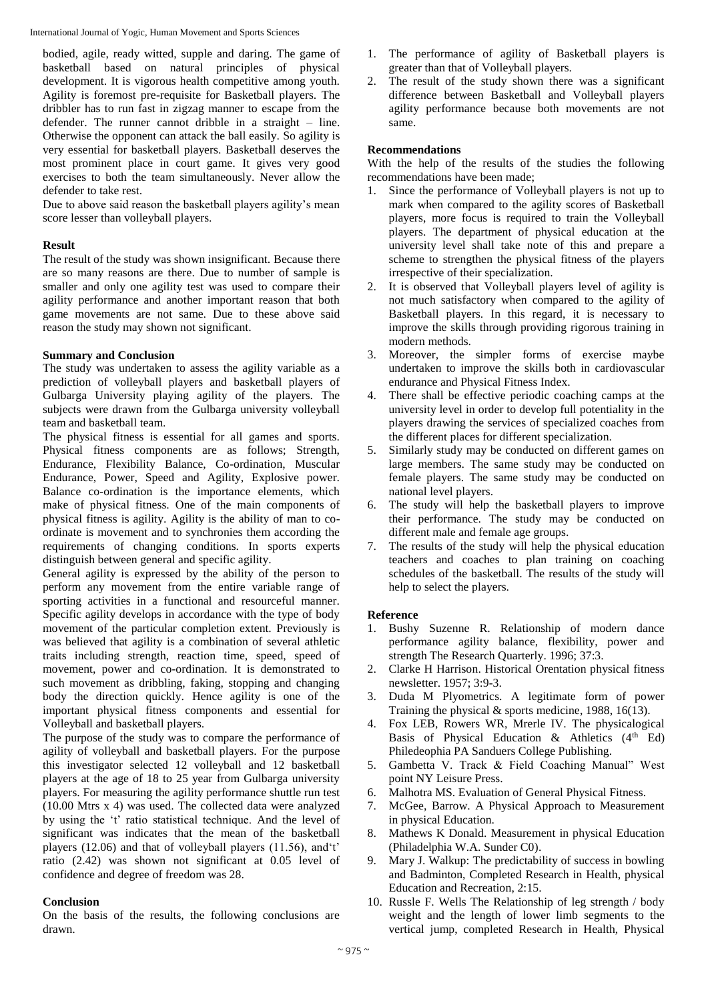International Journal of Yogic, Human Movement and Sports Sciences

bodied, agile, ready witted, supple and daring. The game of basketball based on natural principles of physical development. It is vigorous health competitive among youth. Agility is foremost pre-requisite for Basketball players. The dribbler has to run fast in zigzag manner to escape from the defender. The runner cannot dribble in a straight – line. Otherwise the opponent can attack the ball easily. So agility is very essential for basketball players. Basketball deserves the most prominent place in court game. It gives very good exercises to both the team simultaneously. Never allow the defender to take rest.

Due to above said reason the basketball players agility's mean score lesser than volleyball players.

#### **Result**

The result of the study was shown insignificant. Because there are so many reasons are there. Due to number of sample is smaller and only one agility test was used to compare their agility performance and another important reason that both game movements are not same. Due to these above said reason the study may shown not significant.

## **Summary and Conclusion**

The study was undertaken to assess the agility variable as a prediction of volleyball players and basketball players of Gulbarga University playing agility of the players. The subjects were drawn from the Gulbarga university volleyball team and basketball team.

The physical fitness is essential for all games and sports. Physical fitness components are as follows; Strength, Endurance, Flexibility Balance, Co-ordination, Muscular Endurance, Power, Speed and Agility, Explosive power. Balance co-ordination is the importance elements, which make of physical fitness. One of the main components of physical fitness is agility. Agility is the ability of man to coordinate is movement and to synchronies them according the requirements of changing conditions. In sports experts distinguish between general and specific agility.

General agility is expressed by the ability of the person to perform any movement from the entire variable range of sporting activities in a functional and resourceful manner. Specific agility develops in accordance with the type of body movement of the particular completion extent. Previously is was believed that agility is a combination of several athletic traits including strength, reaction time, speed, speed of movement, power and co-ordination. It is demonstrated to such movement as dribbling, faking, stopping and changing body the direction quickly. Hence agility is one of the important physical fitness components and essential for Volleyball and basketball players.

The purpose of the study was to compare the performance of agility of volleyball and basketball players. For the purpose this investigator selected 12 volleyball and 12 basketball players at the age of 18 to 25 year from Gulbarga university players. For measuring the agility performance shuttle run test (10.00 Mtrs x 4) was used. The collected data were analyzed by using the 't' ratio statistical technique. And the level of significant was indicates that the mean of the basketball players (12.06) and that of volleyball players (11.56), and't' ratio (2.42) was shown not significant at 0.05 level of confidence and degree of freedom was 28.

#### **Conclusion**

On the basis of the results, the following conclusions are drawn.

- 1. The performance of agility of Basketball players is greater than that of Volleyball players.
- 2. The result of the study shown there was a significant difference between Basketball and Volleyball players agility performance because both movements are not same.

## **Recommendations**

With the help of the results of the studies the following recommendations have been made;

- 1. Since the performance of Volleyball players is not up to mark when compared to the agility scores of Basketball players, more focus is required to train the Volleyball players. The department of physical education at the university level shall take note of this and prepare a scheme to strengthen the physical fitness of the players irrespective of their specialization.
- 2. It is observed that Volleyball players level of agility is not much satisfactory when compared to the agility of Basketball players. In this regard, it is necessary to improve the skills through providing rigorous training in modern methods.
- 3. Moreover, the simpler forms of exercise maybe undertaken to improve the skills both in cardiovascular endurance and Physical Fitness Index.
- 4. There shall be effective periodic coaching camps at the university level in order to develop full potentiality in the players drawing the services of specialized coaches from the different places for different specialization.
- 5. Similarly study may be conducted on different games on large members. The same study may be conducted on female players. The same study may be conducted on national level players.
- 6. The study will help the basketball players to improve their performance. The study may be conducted on different male and female age groups.
- 7. The results of the study will help the physical education teachers and coaches to plan training on coaching schedules of the basketball. The results of the study will help to select the players.

# **Reference**

- 1. Bushy Suzenne R. Relationship of modern dance performance agility balance, flexibility, power and strength The Research Quarterly. 1996; 37:3.
- 2. Clarke H Harrison. Historical Orentation physical fitness newsletter. 1957; 3:9-3.
- 3. Duda M Plyometrics. A legitimate form of power Training the physical & sports medicine, 1988, 16(13).
- 4. Fox LEB, Rowers WR, Mrerle IV. The physicalogical Basis of Physical Education & Athletics  $(4<sup>th</sup> Ed)$ Philedeophia PA Sanduers College Publishing.
- 5. Gambetta V. Track & Field Coaching Manual" West point NY Leisure Press.
- 6. Malhotra MS. Evaluation of General Physical Fitness.
- 7. McGee, Barrow. A Physical Approach to Measurement in physical Education.
- 8. Mathews K Donald. Measurement in physical Education (Philadelphia W.A. Sunder C0).
- 9. Mary J. Walkup: The predictability of success in bowling and Badminton, Completed Research in Health, physical Education and Recreation, 2:15.
- 10. Russle F. Wells The Relationship of leg strength / body weight and the length of lower limb segments to the vertical jump, completed Research in Health, Physical